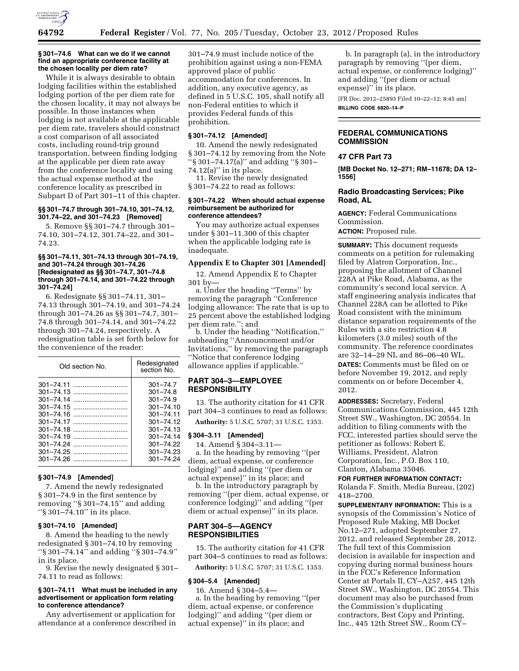

### **§ 301–74.6 What can we do if we cannot find an appropriate conference facility at the chosen locality per diem rate?**

While it is always desirable to obtain lodging facilities within the established lodging portion of the per diem rate for the chosen locality, it may not always be possible. In those instances when lodging is not available at the applicable per diem rate, travelers should construct a cost comparison of all associated costs, including round-trip ground transportation, between finding lodging at the applicable per diem rate away from the conference locality and using the actual expense method at the conference locality as prescribed in Subpart D of Part 301–11 of this chapter.

## **§§ 301–74.7 through 301–74.10, 301–74.12, 301.74–22, and 301–74.23 [Removed]**

5. Remove §§ 301–74.7 through 301– 74.10, 301–74.12, 301.74–22, and 301– 74.23.

#### **§§ 301–74.11, 301–74.13 through 301–74.19, and 301–74.24 through 301–74.26 [Redesignated as §§ 301–74.7, 301–74.8 through 301–74.14, and 301–74.22 through 301–74.24]**

6. Redesignate §§ 301–74.11, 301– 74.13 through 301–74.19, and 301–74.24 through 301–74.26 as §§ 301–74.7, 301– 74.8 through 301–74.14, and 301–74.22 through 301–74.24, respectively. A redesignation table is set forth below for the convenience of the reader:

| Old section No. | Redesignated<br>section No. |
|-----------------|-----------------------------|
|                 | $301 - 74.7$                |
| 301–74.13       | $301 - 74.8$                |
|                 | $301 - 74.9$                |
|                 | $301 - 74.10$               |
|                 | $301 - 74.11$               |
|                 | $301 - 74.12$               |
|                 | $301 - 74.13$               |
|                 | $301 - 74.14$               |
|                 | $301 - 74.22$               |
|                 | 301-74.23                   |
| 301-74.26       | $301 - 74.24$               |

# **§ 301–74.9 [Amended]**

7. Amend the newly redesignated § 301–74.9 in the first sentence by removing ''§ 301–74.15'' and adding ''§ 301–74.10'' in its place.

### **§ 301–74.10 [Amended]**

8. Amend the heading to the newly redesignated § 301–74.10 by removing ''§ 301–74.14'' and adding ''§ 301–74.9'' in its place.

9. Revise the newly designated § 301– 74.11 to read as follows:

#### **§ 301–74.11 What must be included in any advertisement or application form relating to conference attendance?**

Any advertisement or application for attendance at a conference described in

301–74.9 must include notice of the prohibition against using a non-FEMA approved place of public accommodation for conferences. In addition, any executive agency, as defined in 5 U.S.C. 105, shall notify all non-Federal entities to which it provides Federal funds of this prohibition.

#### **§ 301–74.12 [Amended]**

10. Amend the newly redesignated § 301–74.12 by removing from the Note ''§ 301–74.17(a)'' and adding ''§ 301–  $74.12(a)$ " in its place.

11. Revise the newly designated § 301–74.22 to read as follows:

#### **§ 301–74.22 When should actual expense reimbursement be authorized for conference attendees?**

You may authorize actual expenses under § 301–11.300 of this chapter when the applicable lodging rate is inadequate.

#### **Appendix E to Chapter 301 [Amended]**

12. Amend Appendix E to Chapter 301 by—

a. Under the heading ''Terms'' by removing the paragraph ''Conference lodging allowance: The rate that is up to 25 percent above the established lodging per diem rate.''; and

b. Under the heading ''Notification,'' subheading ''Announcement and/or Invitations,'' by removing the paragraph ''Notice that conference lodging allowance applies if applicable.

# **PART 304–3—EMPLOYEE RESPONSIBILITY**

13. The authority citation for 41 CFR part 304–3 continues to read as follows:

**Authority:** 5 U.S.C. 5707; 31 U.S.C. 1353.

### **§ 304–3.11 [Amended]**

14. Amend § 304–3.11—

a. In the heading by removing ''(per diem, actual expense, or conference lodging)'' and adding ''(per diem or actual expense)'' in its place; and

b. In the introductory paragraph by removing ''(per diem, actual expense, or conference lodging)'' and adding ''(per diem or actual expense)'' in its place.

# **PART 304–5—AGENCY RESPONSIBILITIES**

15. The authority citation for 41 CFR part 304–5 continues to read as follows:

**Authority:** 5 U.S.C. 5707; 31 U.S.C. 1353.

### **§ 304–5.4 [Amended]**

16. Amend § 304–5.4 a. In the heading by removing ''(per diem, actual expense, or conference lodging)'' and adding ''(per diem or actual expense)'' in its place; and

b. In paragraph (a), in the introductory paragraph by removing ''(per diem, actual expense, or conference lodging)'' and adding ''(per diem or actual expense)'' in its place.

[FR Doc. 2012–25893 Filed 10–22–12; 8:45 am] **BILLING CODE 6820–14–P** 

## **FEDERAL COMMUNICATIONS COMMISSION**

#### **47 CFR Part 73**

**[MB Docket No. 12–271; RM–11678; DA 12– 1556]** 

## **Radio Broadcasting Services; Pike Road, AL**

**AGENCY:** Federal Communications Commission.

**ACTION:** Proposed rule.

**SUMMARY:** This document requests comments on a petition for rulemaking filed by Alatron Corporation, Inc., proposing the allotment of Channel 228A at Pike Road, Alabama, as the community's second local service. A staff engineering analysis indicates that Channel 228A can be allotted to Pike Road consistent with the minimum distance separation requirements of the Rules with a site restriction 4.8 kilometers (3.0 miles) south of the community. The reference coordinates are 32–14–29 NL and 86–06–40 WL. **DATES:** Comments must be filed on or before November 19, 2012, and reply comments on or before December 4, 2012.

**ADDRESSES:** Secretary, Federal Communications Commission, 445 12th Street SW., Washington, DC 20554. In addition to filing comments with the FCC, interested parties should serve the petitioner as follows: Robert E. Williams, President, Alatron Corporation, Inc., P.O. Box 110, Clanton, Alabama 35046.

**FOR FURTHER INFORMATION CONTACT:**  Rolanda F. Smith, Media Bureau, (202) 418–2700.

**SUPPLEMENTARY INFORMATION:** This is a synopsis of the Commission's Notice of Proposed Rule Making, MB Docket No.12–271, adopted September 27, 2012, and released September 28, 2012. The full text of this Commission decision is available for inspection and copying during normal business hours in the FCC's Reference Information Center at Portals II, CY–A257, 445 12th Street SW., Washington, DC 20554. This document may also be purchased from the Commission's duplicating contractors, Best Copy and Printing, Inc., 445 12th Street SW., Room CY–